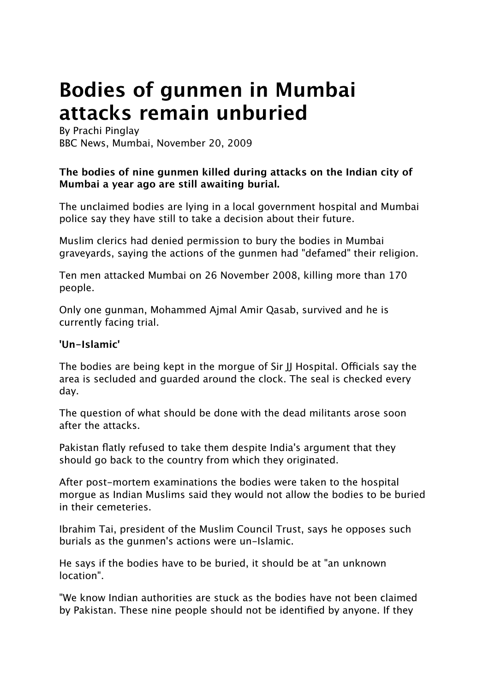## **Bodies of gunmen in Mumbai attacks remain unburied**

By Prachi Pinglay BBC News, Mumbai, November 20, 2009

## **The bodies of nine gunmen killed during attacks on the Indian city of Mumbai a year ago are still awaiting burial.**

The unclaimed bodies are lying in a local government hospital and Mumbai police say they have still to take a decision about their future.

Muslim clerics had denied permission to bury the bodies in Mumbai graveyards, saying the actions of the gunmen had "defamed" their religion.

Ten men attacked Mumbai on 26 November 2008, killing more than 170 people.

Only one gunman, Mohammed Ajmal Amir Qasab, survived and he is currently facing trial.

## **'Un-Islamic'**

The bodies are being kept in the morgue of Sir JJ Hospital. Officials say the area is secluded and guarded around the clock. The seal is checked every day.

The question of what should be done with the dead militants arose soon after the attacks.

Pakistan flatly refused to take them despite India's argument that they should go back to the country from which they originated.

After post-mortem examinations the bodies were taken to the hospital morgue as Indian Muslims said they would not allow the bodies to be buried in their cemeteries.

Ibrahim Tai, president of the Muslim Council Trust, says he opposes such burials as the gunmen's actions were un-Islamic.

He says if the bodies have to be buried, it should be at "an unknown location".

"We know Indian authorities are stuck as the bodies have not been claimed by Pakistan. These nine people should not be identified by anyone. If they